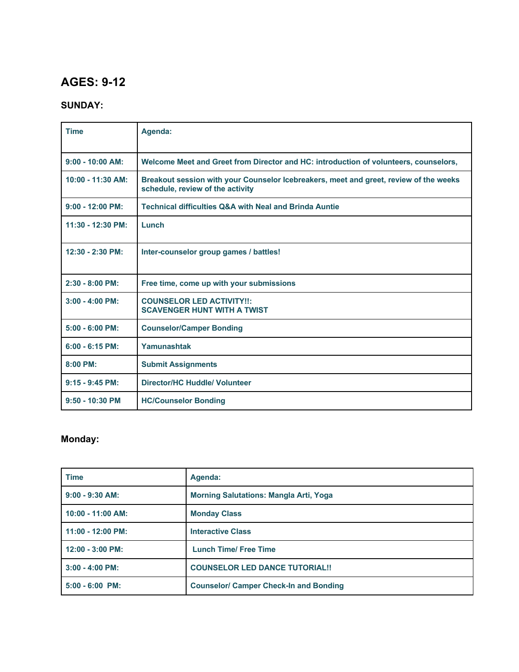# **AGES: 9-12**

### **SUNDAY:**

| <b>Time</b>         | Agenda:                                                                                                                   |
|---------------------|---------------------------------------------------------------------------------------------------------------------------|
| $9:00 - 10:00$ AM:  | Welcome Meet and Greet from Director and HC: introduction of volunteers, counselors,                                      |
| $10:00 - 11:30$ AM: | Breakout session with your Counselor Icebreakers, meet and greet, review of the weeks<br>schedule, review of the activity |
| $9:00 - 12:00$ PM:  | <b>Technical difficulties Q&amp;A with Neal and Brinda Auntie</b>                                                         |
| 11:30 - 12:30 PM:   | Lunch                                                                                                                     |
| 12:30 - 2:30 PM:    | Inter-counselor group games / battles!                                                                                    |
| $2:30 - 8:00$ PM:   | Free time, come up with your submissions                                                                                  |
| $3:00 - 4:00$ PM:   | <b>COUNSELOR LED ACTIVITY!!:</b><br><b>SCAVENGER HUNT WITH A TWIST</b>                                                    |
| $5:00 - 6:00$ PM:   | <b>Counselor/Camper Bonding</b>                                                                                           |
| $6:00 - 6:15$ PM:   | Yamunashtak                                                                                                               |
| $8:00$ PM:          | <b>Submit Assignments</b>                                                                                                 |
| $9:15 - 9:45$ PM:   | <b>Director/HC Huddle/ Volunteer</b>                                                                                      |
| $9:50 - 10:30$ PM   | <b>HC/Counselor Bonding</b>                                                                                               |

### **Monday:**

| <b>Time</b>         | Agenda:                                       |
|---------------------|-----------------------------------------------|
| $9:00 - 9:30$ AM:   | <b>Morning Salutations: Mangla Arti, Yoga</b> |
| $10:00 - 11:00$ AM: | <b>Monday Class</b>                           |
| $11:00 - 12:00$ PM: | <b>Interactive Class</b>                      |
| $12:00 - 3:00$ PM:  | <b>Lunch Time/ Free Time</b>                  |
| $3:00 - 4:00$ PM:   | <b>COUNSELOR LED DANCE TUTORIAL!!</b>         |
| $5:00 - 6:00$ PM:   | <b>Counselor/ Camper Check-In and Bonding</b> |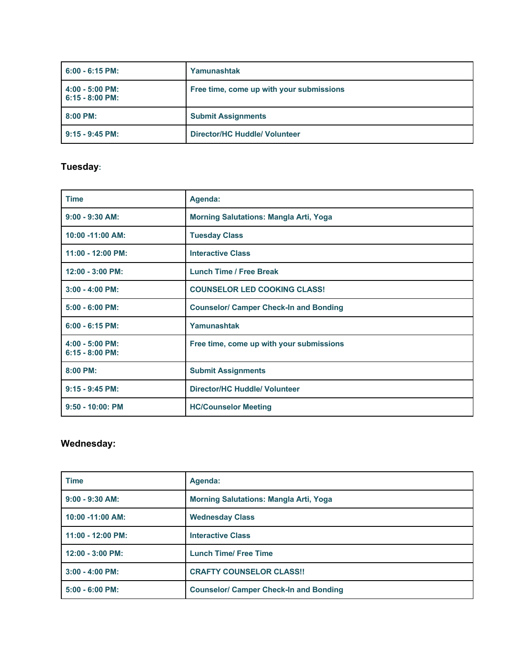| $6:00 - 6:15$ PM:                      | Yamunashtak                              |
|----------------------------------------|------------------------------------------|
| $4:00 - 5:00$ PM:<br>$6:15 - 8:00$ PM: | Free time, come up with your submissions |
| $8:00$ PM:                             | <b>Submit Assignments</b>                |
| $9:15 - 9:45$ PM:                      | Director/HC Huddle/ Volunteer            |

# **Tuesday:**

| <b>Time</b>                            | Agenda:                                       |
|----------------------------------------|-----------------------------------------------|
| $9:00 - 9:30$ AM:                      | <b>Morning Salutations: Mangla Arti, Yoga</b> |
| 10:00 -11:00 AM:                       | <b>Tuesday Class</b>                          |
| 11:00 - 12:00 PM:                      | <b>Interactive Class</b>                      |
| 12:00 - 3:00 PM:                       | <b>Lunch Time / Free Break</b>                |
| $3:00 - 4:00$ PM:                      | <b>COUNSELOR LED COOKING CLASS!</b>           |
| $5:00 - 6:00$ PM:                      | <b>Counselor/ Camper Check-In and Bonding</b> |
| $6:00 - 6:15$ PM:                      | Yamunashtak                                   |
| $4:00 - 5:00$ PM:<br>$6:15 - 8:00$ PM: | Free time, come up with your submissions      |
| $8:00$ PM:                             | <b>Submit Assignments</b>                     |
| $9:15 - 9:45$ PM:                      | <b>Director/HC Huddle/ Volunteer</b>          |
| $9:50 - 10:00$ : PM                    | <b>HC/Counselor Meeting</b>                   |

### **Wednesday:**

| <b>Time</b>         | Agenda:                                       |
|---------------------|-----------------------------------------------|
| $9:00 - 9:30$ AM:   | <b>Morning Salutations: Mangla Arti, Yoga</b> |
| $10:00 - 11:00$ AM: | <b>Wednesday Class</b>                        |
| $11:00 - 12:00$ PM: | <b>Interactive Class</b>                      |
| $12:00 - 3:00$ PM:  | <b>Lunch Time/ Free Time</b>                  |
| $3:00 - 4:00$ PM:   | <b>CRAFTY COUNSELOR CLASS!!</b>               |
| $5:00 - 6:00$ PM:   | <b>Counselor/ Camper Check-In and Bonding</b> |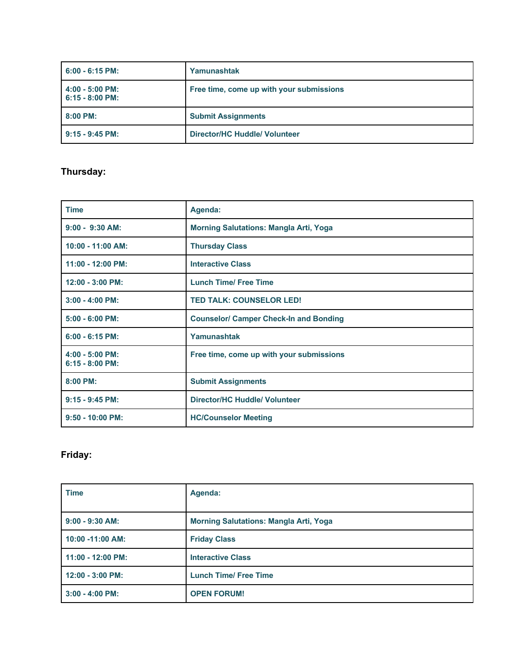| $6:00 - 6:15$ PM:                      | Yamunashtak                              |
|----------------------------------------|------------------------------------------|
| $4:00 - 5:00$ PM:<br>$6:15 - 8:00$ PM: | Free time, come up with your submissions |
| $8:00$ PM:                             | <b>Submit Assignments</b>                |
| $9:15 - 9:45$ PM:                      | Director/HC Huddle/ Volunteer            |

# **Thursday:**

| <b>Time</b>                            | Agenda:                                       |
|----------------------------------------|-----------------------------------------------|
| $9:00 - 9:30$ AM:                      | <b>Morning Salutations: Mangla Arti, Yoga</b> |
| $10:00 - 11:00$ AM:                    | <b>Thursday Class</b>                         |
| $11:00 - 12:00$ PM:                    | <b>Interactive Class</b>                      |
| $12:00 - 3:00$ PM:                     | <b>Lunch Time/ Free Time</b>                  |
| $3:00 - 4:00$ PM:                      | <b>TED TALK: COUNSELOR LED!</b>               |
| $5:00 - 6:00$ PM:                      | <b>Counselor/ Camper Check-In and Bonding</b> |
| $6:00 - 6:15$ PM:                      | Yamunashtak                                   |
| $4:00 - 5:00$ PM:<br>$6:15 - 8:00$ PM: | Free time, come up with your submissions      |
| 8:00 PM:                               | <b>Submit Assignments</b>                     |
| $9:15 - 9:45$ PM:                      | <b>Director/HC Huddle/ Volunteer</b>          |
| $9:50 - 10:00$ PM:                     | <b>HC/Counselor Meeting</b>                   |

# **Friday:**

| <b>Time</b>                | Agenda:                                       |
|----------------------------|-----------------------------------------------|
| $9:00 - 9:30$ AM:          | <b>Morning Salutations: Mangla Arti, Yoga</b> |
| 10:00 -11:00 AM:           | <b>Friday Class</b>                           |
| $11:00 - 12:00 \text{ PM}$ | <b>Interactive Class</b>                      |
| $12:00 - 3:00$ PM:         | <b>Lunch Time/ Free Time</b>                  |
| $3:00 - 4:00$ PM:          | <b>OPEN FORUM!</b>                            |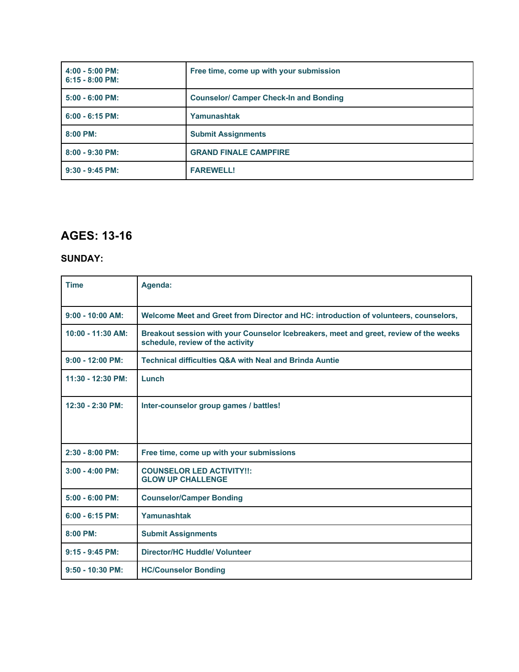| $4:00 - 5:00$ PM:<br>$6:15 - 8:00$ PM: | Free time, come up with your submission       |
|----------------------------------------|-----------------------------------------------|
| $5:00 - 6:00$ PM:                      | <b>Counselor/ Camper Check-In and Bonding</b> |
| $6:00 - 6:15$ PM:                      | Yamunashtak                                   |
| 8:00 PM:                               | <b>Submit Assignments</b>                     |
| $8:00 - 9:30$ PM:                      | <b>GRAND FINALE CAMPFIRE</b>                  |
| $9:30 - 9:45$ PM:                      | <b>FAREWELL!</b>                              |

# **AGES: 13-16**

#### **SUNDAY:**

| <b>Time</b>         | Agenda:                                                                                                                   |
|---------------------|---------------------------------------------------------------------------------------------------------------------------|
| $9:00 - 10:00$ AM:  | Welcome Meet and Greet from Director and HC: introduction of volunteers, counselors,                                      |
| $10:00 - 11:30$ AM: | Breakout session with your Counselor Icebreakers, meet and greet, review of the weeks<br>schedule, review of the activity |
| $9:00 - 12:00$ PM:  | <b>Technical difficulties Q&amp;A with Neal and Brinda Auntie</b>                                                         |
| 11:30 - 12:30 PM:   | Lunch                                                                                                                     |
| $12:30 - 2:30$ PM:  | Inter-counselor group games / battles!                                                                                    |
| $2:30 - 8:00$ PM:   | Free time, come up with your submissions                                                                                  |
| $3:00 - 4:00$ PM:   | <b>COUNSELOR LED ACTIVITY!!:</b><br><b>GLOW UP CHALLENGE</b>                                                              |
| $5:00 - 6:00$ PM:   | <b>Counselor/Camper Bonding</b>                                                                                           |
| $6:00 - 6:15$ PM:   | Yamunashtak                                                                                                               |
| $8:00$ PM:          | <b>Submit Assignments</b>                                                                                                 |
| $9:15 - 9:45$ PM:   | Director/HC Huddle/ Volunteer                                                                                             |
| $9:50 - 10:30$ PM:  | <b>HC/Counselor Bonding</b>                                                                                               |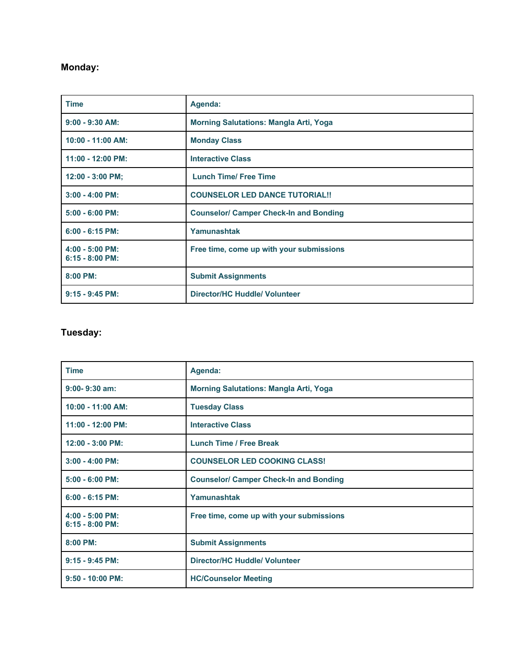# **Monday:**

| <b>Time</b>                            | Agenda:                                       |
|----------------------------------------|-----------------------------------------------|
| $9:00 - 9:30$ AM:                      | <b>Morning Salutations: Mangla Arti, Yoga</b> |
| 10:00 - 11:00 AM:                      | <b>Monday Class</b>                           |
| 11:00 - 12:00 PM:                      | <b>Interactive Class</b>                      |
| $12:00 - 3:00$ PM;                     | <b>Lunch Time/ Free Time</b>                  |
| $3:00 - 4:00$ PM:                      | <b>COUNSELOR LED DANCE TUTORIAL!!</b>         |
| $5:00 - 6:00$ PM:                      | <b>Counselor/ Camper Check-In and Bonding</b> |
| $6:00 - 6:15$ PM:                      | Yamunashtak                                   |
| $4:00 - 5:00$ PM:<br>$6:15 - 8:00$ PM: | Free time, come up with your submissions      |
| 8:00 PM:                               | <b>Submit Assignments</b>                     |
| $9:15 - 9:45$ PM:                      | <b>Director/HC Huddle/ Volunteer</b>          |

# **Tuesday:**

| <b>Time</b>                            | Agenda:                                       |
|----------------------------------------|-----------------------------------------------|
| $9:00 - 9:30$ am:                      | <b>Morning Salutations: Mangla Arti, Yoga</b> |
| $10:00 - 11:00$ AM:                    | <b>Tuesday Class</b>                          |
| $11:00 - 12:00$ PM:                    | <b>Interactive Class</b>                      |
| 12:00 - 3:00 PM:                       | <b>Lunch Time / Free Break</b>                |
| $3:00 - 4:00$ PM:                      | <b>COUNSELOR LED COOKING CLASS!</b>           |
| $5:00 - 6:00$ PM:                      | <b>Counselor/ Camper Check-In and Bonding</b> |
| $6:00 - 6:15$ PM:                      | Yamunashtak                                   |
| $4:00 - 5:00$ PM:<br>$6:15 - 8:00$ PM: | Free time, come up with your submissions      |
| 8:00 PM:                               | <b>Submit Assignments</b>                     |
| $9:15 - 9:45$ PM:                      | <b>Director/HC Huddle/ Volunteer</b>          |
| $9:50 - 10:00$ PM:                     | <b>HC/Counselor Meeting</b>                   |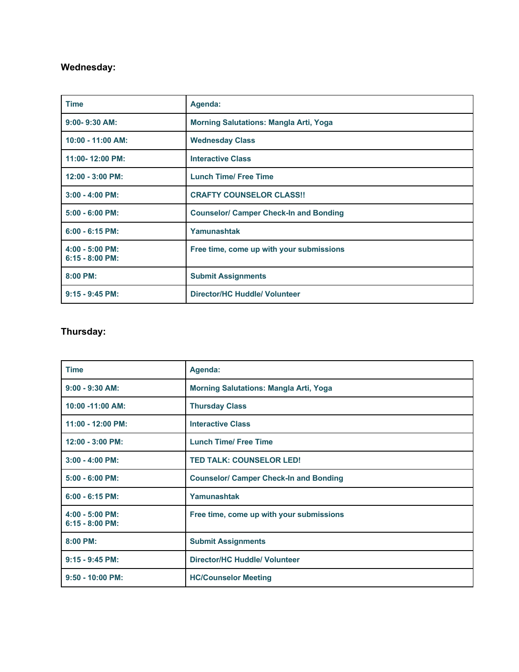### **Wednesday:**

| <b>Time</b>                            | Agenda:                                       |
|----------------------------------------|-----------------------------------------------|
| $9:00 - 9:30$ AM:                      | <b>Morning Salutations: Mangla Arti, Yoga</b> |
| $10:00 - 11:00$ AM:                    | <b>Wednesday Class</b>                        |
| 11:00-12:00 PM:                        | <b>Interactive Class</b>                      |
| $12:00 - 3:00$ PM:                     | <b>Lunch Time/ Free Time</b>                  |
| $3:00 - 4:00$ PM:                      | <b>CRAFTY COUNSELOR CLASS!!</b>               |
| $5:00 - 6:00$ PM:                      | <b>Counselor/ Camper Check-In and Bonding</b> |
| $6:00 - 6:15$ PM:                      | Yamunashtak                                   |
| $4:00 - 5:00$ PM:<br>$6:15 - 8:00$ PM: | Free time, come up with your submissions      |
| 8:00 PM:                               | <b>Submit Assignments</b>                     |
| $9:15 - 9:45$ PM:                      | <b>Director/HC Huddle/ Volunteer</b>          |

### **Thursday:**

| <b>Time</b>                            | Agenda:                                       |
|----------------------------------------|-----------------------------------------------|
| $9:00 - 9:30$ AM:                      | <b>Morning Salutations: Mangla Arti, Yoga</b> |
| 10:00 -11:00 AM:                       | <b>Thursday Class</b>                         |
| 11:00 - 12:00 PM:                      | <b>Interactive Class</b>                      |
| 12:00 - 3:00 PM:                       | <b>Lunch Time/ Free Time</b>                  |
| $3:00 - 4:00$ PM:                      | <b>TED TALK: COUNSELOR LED!</b>               |
| $5:00 - 6:00$ PM:                      | <b>Counselor/ Camper Check-In and Bonding</b> |
| $6:00 - 6:15$ PM:                      | Yamunashtak                                   |
| $4:00 - 5:00$ PM:<br>$6:15 - 8:00$ PM: | Free time, come up with your submissions      |
| $8:00$ PM:                             | <b>Submit Assignments</b>                     |
| 9:15 - 9:45 PM:                        | <b>Director/HC Huddle/ Volunteer</b>          |
| $9:50 - 10:00$ PM:                     | <b>HC/Counselor Meeting</b>                   |